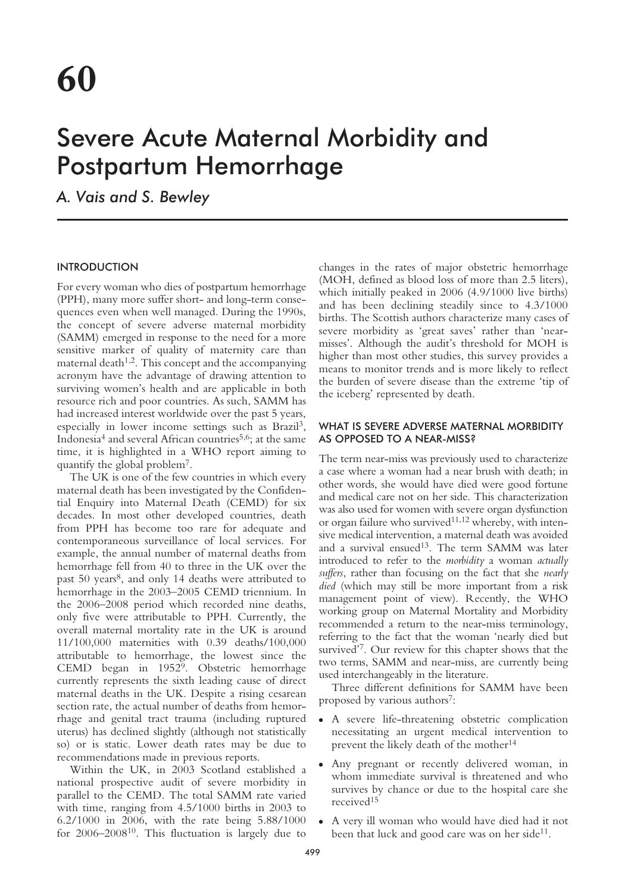# Severe Acute Maternal Morbidity and Postpartum Hemorrhage

*A. Vais and S. Bewley*

# INTRODUCTION

For every woman who dies of postpartum hemorrhage (PPH), many more suffer short- and long-term consequences even when well managed. During the 1990s, the concept of severe adverse maternal morbidity (SAMM) emerged in response to the need for a more sensitive marker of quality of maternity care than maternal death<sup> $1,2$ </sup>. This concept and the accompanying acronym have the advantage of drawing attention to surviving women's health and are applicable in both resource rich and poor countries. As such, SAMM has had increased interest worldwide over the past 5 years, especially in lower income settings such as Brazil3, Indonesia4 and several African countries5,6; at the same time, it is highlighted in a WHO report aiming to quantify the global problem7.

The UK is one of the few countries in which every maternal death has been investigated by the Confidential Enquiry into Maternal Death (CEMD) for six decades. In most other developed countries, death from PPH has become too rare for adequate and contemporaneous surveillance of local services. For example, the annual number of maternal deaths from hemorrhage fell from 40 to three in the UK over the past 50 years<sup>8</sup>, and only 14 deaths were attributed to hemorrhage in the 2003–2005 CEMD triennium. In the 2006–2008 period which recorded nine deaths, only five were attributable to PPH. Currently, the overall maternal mortality rate in the UK is around 11/100,000 maternities with 0.39 deaths/100,000 attributable to hemorrhage, the lowest since the CEMD began in 19529. Obstetric hemorrhage currently represents the sixth leading cause of direct maternal deaths in the UK. Despite a rising cesarean section rate, the actual number of deaths from hemorrhage and genital tract trauma (including ruptured uterus) has declined slightly (although not statistically so) or is static. Lower death rates may be due to recommendations made in previous reports.

Within the UK, in 2003 Scotland established a national prospective audit of severe morbidity in parallel to the CEMD. The total SAMM rate varied with time, ranging from 4.5/1000 births in 2003 to 6.2/1000 in 2006, with the rate being 5.88/1000 for 2006–200810. This fluctuation is largely due to

changes in the rates of major obstetric hemorrhage (MOH, defined as blood loss of more than 2.5 liters), which initially peaked in 2006 (4.9/1000 live births) and has been declining steadily since to 4.3/1000 births. The Scottish authors characterize many cases of severe morbidity as 'great saves' rather than 'nearmisses'. Although the audit's threshold for MOH is higher than most other studies, this survey provides a means to monitor trends and is more likely to reflect the burden of severe disease than the extreme 'tip of the iceberg' represented by death.

# WHAT IS SEVERE ADVERSE MATERNAL MORBIDITY AS OPPOSED TO A NEAR-MISS?

The term near-miss was previously used to characterize a case where a woman had a near brush with death; in other words, she would have died were good fortune and medical care not on her side. This characterization was also used for women with severe organ dysfunction or organ failure who survived<sup>11,12</sup> whereby, with intensive medical intervention, a maternal death was avoided and a survival ensued<sup>13</sup>. The term SAMM was later introduced to refer to the *morbidity* a woman *actually suffers*, rather than focusing on the fact that she *nearly died* (which may still be more important from a risk management point of view). Recently, the WHO working group on Maternal Mortality and Morbidity recommended a return to the near-miss terminology, referring to the fact that the woman 'nearly died but survived'7. Our review for this chapter shows that the two terms, SAMM and near-miss, are currently being used interchangeably in the literature.

Three different definitions for SAMM have been proposed by various authors<sup>7</sup>:

- A severe life-threatening obstetric complication necessitating an urgent medical intervention to prevent the likely death of the mother<sup>14</sup>
- Any pregnant or recently delivered woman, in whom immediate survival is threatened and who survives by chance or due to the hospital care she received15
- A very ill woman who would have died had it not been that luck and good care was on her side<sup>11</sup>.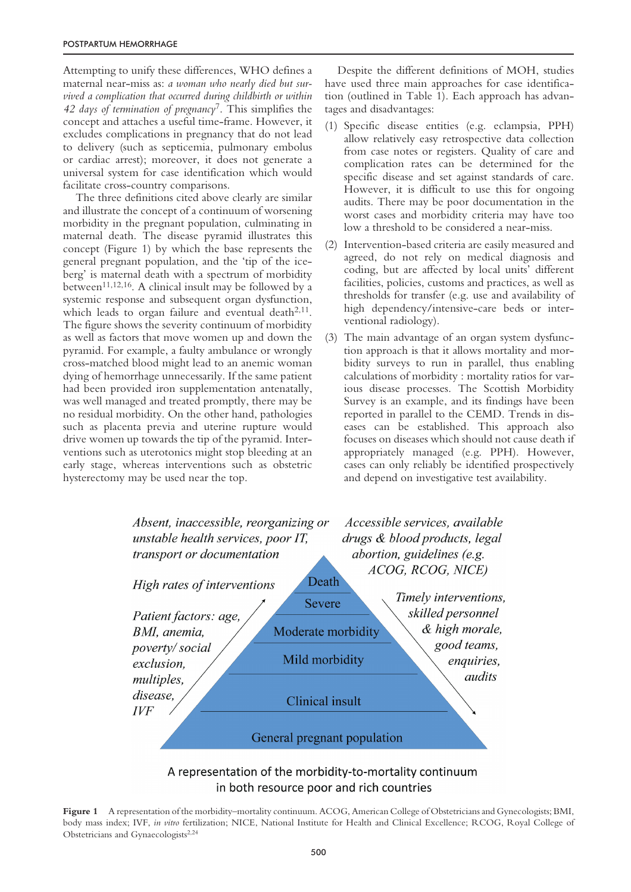Attempting to unify these differences, WHO defines a maternal near-miss as: *a woman who nearly died but survived a complication that occurred during childbirth or within 42 days of termination of pregnancy*7. This simplifies the concept and attaches a useful time-frame. However, it excludes complications in pregnancy that do not lead to delivery (such as septicemia, pulmonary embolus or cardiac arrest); moreover, it does not generate a universal system for case identification which would facilitate cross-country comparisons.

The three definitions cited above clearly are similar and illustrate the concept of a continuum of worsening morbidity in the pregnant population, culminating in maternal death. The disease pyramid illustrates this concept (Figure 1) by which the base represents the general pregnant population, and the 'tip of the iceberg' is maternal death with a spectrum of morbidity between<sup>11,12,16</sup>. A clinical insult may be followed by a systemic response and subsequent organ dysfunction, which leads to organ failure and eventual death $2,11$ . The figure shows the severity continuum of morbidity as well as factors that move women up and down the pyramid. For example, a faulty ambulance or wrongly cross-matched blood might lead to an anemic woman dying of hemorrhage unnecessarily. If the same patient had been provided iron supplementation antenatally, was well managed and treated promptly, there may be no residual morbidity. On the other hand, pathologies such as placenta previa and uterine rupture would drive women up towards the tip of the pyramid. Interventions such as uterotonics might stop bleeding at an early stage, whereas interventions such as obstetric hysterectomy may be used near the top.

Despite the different definitions of MOH, studies have used three main approaches for case identification (outlined in Table 1). Each approach has advantages and disadvantages:

- (1) Specific disease entities (e.g. eclampsia, PPH) allow relatively easy retrospective data collection from case notes or registers. Quality of care and complication rates can be determined for the specific disease and set against standards of care. However, it is difficult to use this for ongoing audits. There may be poor documentation in the worst cases and morbidity criteria may have too low a threshold to be considered a near-miss.
- (2) Intervention-based criteria are easily measured and agreed, do not rely on medical diagnosis and coding, but are affected by local units' different facilities, policies, customs and practices, as well as thresholds for transfer (e.g. use and availability of high dependency/intensive-care beds or interventional radiology).
- (3) The main advantage of an organ system dysfunction approach is that it allows mortality and morbidity surveys to run in parallel, thus enabling calculations of morbidity : mortality ratios for various disease processes. The Scottish Morbidity Survey is an example, and its findings have been reported in parallel to the CEMD. Trends in diseases can be established. This approach also focuses on diseases which should not cause death if appropriately managed (e.g. PPH). However, cases can only reliably be identified prospectively and depend on investigative test availability.



# A representation of the morbidity-to-mortality continuum in both resource poor and rich countries

**Figure 1** A representation of the morbidity–mortality continuum. ACOG, American College of Obstetricians and Gynecologists; BMI, body mass index; IVF, *in vitro* fertilization; NICE, National Institute for Health and Clinical Excellence; RCOG, Royal College of Obstetricians and Gynaecologists<sup>2,24</sup>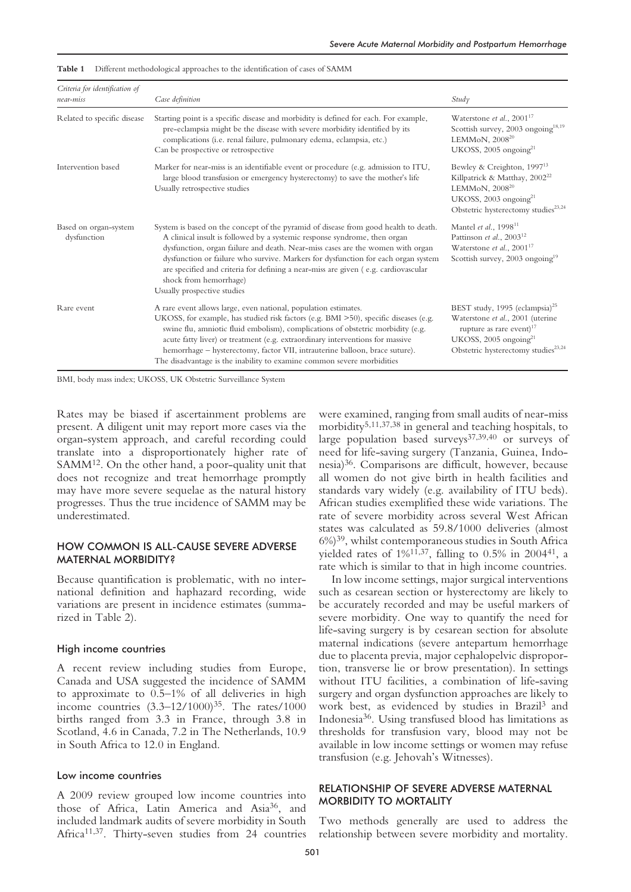| Criteria for identification of<br>near-miss | Case definition                                                                                                                                                                                                                                                                                                                                                                                                                                                                        | Study                                                                                                                                                                                           |
|---------------------------------------------|----------------------------------------------------------------------------------------------------------------------------------------------------------------------------------------------------------------------------------------------------------------------------------------------------------------------------------------------------------------------------------------------------------------------------------------------------------------------------------------|-------------------------------------------------------------------------------------------------------------------------------------------------------------------------------------------------|
|                                             |                                                                                                                                                                                                                                                                                                                                                                                                                                                                                        |                                                                                                                                                                                                 |
| Related to specific disease                 | Starting point is a specific disease and morbidity is defined for each. For example,<br>pre-eclampsia might be the disease with severe morbidity identified by its<br>complications (i.e. renal failure, pulmonary edema, eclampsia, etc.)<br>Can be prospective or retrospective                                                                                                                                                                                                      | Waterstone et al., $2001^{17}$<br>Scottish survey, 2003 ongoing <sup>18,19</sup><br>LEMMoN, 2008 <sup>20</sup><br>UKOSS, 2005 ongoing <sup>21</sup>                                             |
| Intervention based                          | Marker for near-miss is an identifiable event or procedure (e.g. admission to ITU,<br>large blood transfusion or emergency hysterectomy) to save the mother's life<br>Usually retrospective studies                                                                                                                                                                                                                                                                                    | Bewley & Creighton, 1997 <sup>13</sup><br>Killpatrick & Matthay, 2002 <sup>22</sup><br>LEMMoN, $2008^{20}$<br>UKOSS, 2003 ongoing $^{21}$<br>Obstetric hysterectomy studies <sup>23,24</sup>    |
| Based on organ-system<br>dysfunction        | System is based on the concept of the pyramid of disease from good health to death.<br>A clinical insult is followed by a systemic response syndrome, then organ<br>dysfunction, organ failure and death. Near-miss cases are the women with organ<br>dysfunction or failure who survive. Markers for dysfunction for each organ system<br>are specified and criteria for defining a near-miss are given (e.g. cardiovascular<br>shock from hemorrhage)<br>Usually prospective studies | Mantel et al., 1998 <sup>11</sup><br>Pattinson et al., 2003 <sup>12</sup><br>Waterstone et al., $2001^{17}$<br>Scottish survey, 2003 ongoing <sup>19</sup>                                      |
| Rare event                                  | A rare event allows large, even national, population estimates.<br>UKOSS, for example, has studied risk factors (e.g. BMI >50), specific diseases (e.g.<br>swine flu, amniotic fluid embolism), complications of obstetric morbidity (e.g.<br>acute fatty liver) or treatment (e.g. extraordinary interventions for massive<br>hemorrhage - hysterectomy, factor VII, intrauterine balloon, brace suture).<br>The disadvantage is the inability to examine common severe morbidities   | BEST study, 1995 (eclampsia) <sup>25</sup><br>Waterstone et al., 2001 (uterine<br>rupture as rare event) $17$<br>UKOSS, 2005 ongoing $^{21}$<br>Obstetric hysterectomy studies <sup>23,24</sup> |

**Table 1** Different methodological approaches to the identification of cases of SAMM

BMI, body mass index; UKOSS, UK Obstetric Surveillance System

Rates may be biased if ascertainment problems are present. A diligent unit may report more cases via the organ-system approach, and careful recording could translate into a disproportionately higher rate of SAMM12. On the other hand, a poor-quality unit that does not recognize and treat hemorrhage promptly may have more severe sequelae as the natural history progresses. Thus the true incidence of SAMM may be underestimated.

## HOW COMMON IS ALL-CAUSE SEVERE ADVERSE MATERNAL MORBIDITY?

Because quantification is problematic, with no international definition and haphazard recording, wide variations are present in incidence estimates (summarized in Table 2).

#### High income countries

A recent review including studies from Europe, Canada and USA suggested the incidence of SAMM to approximate to 0.5–1% of all deliveries in high income countries  $(3.3-12/1000)^{35}$ . The rates/1000 births ranged from 3.3 in France, through 3.8 in Scotland, 4.6 in Canada, 7.2 in The Netherlands, 10.9 in South Africa to 12.0 in England.

#### Low income countries

A 2009 review grouped low income countries into those of Africa, Latin America and Asia36, and included landmark audits of severe morbidity in South Africa<sup>11,37</sup>. Thirty-seven studies from 24 countries

were examined, ranging from small audits of near-miss morbidity5,11,37,38 in general and teaching hospitals, to large population based surveys<sup>37,39,40</sup> or surveys of need for life-saving surgery (Tanzania, Guinea, Indonesia)36. Comparisons are difficult, however, because all women do not give birth in health facilities and standards vary widely (e.g. availability of ITU beds). African studies exemplified these wide variations. The rate of severe morbidity across several West African states was calculated as 59.8/1000 deliveries (almost 6%)39, whilst contemporaneous studies in South Africa yielded rates of  $1\frac{4}{1,37}$ , falling to 0.5% in 2004<sup>41</sup>, a rate which is similar to that in high income countries.

In low income settings, major surgical interventions such as cesarean section or hysterectomy are likely to be accurately recorded and may be useful markers of severe morbidity. One way to quantify the need for life-saving surgery is by cesarean section for absolute maternal indications (severe antepartum hemorrhage due to placenta previa, major cephalopelvic disproportion, transverse lie or brow presentation). In settings without ITU facilities, a combination of life-saving surgery and organ dysfunction approaches are likely to work best, as evidenced by studies in Brazil3 and Indonesia36. Using transfused blood has limitations as thresholds for transfusion vary, blood may not be available in low income settings or women may refuse transfusion (e.g. Jehovah's Witnesses).

# RELATIONSHIP OF SEVERE ADVERSE MATERNAL MORBIDITY TO MORTALITY

Two methods generally are used to address the relationship between severe morbidity and mortality.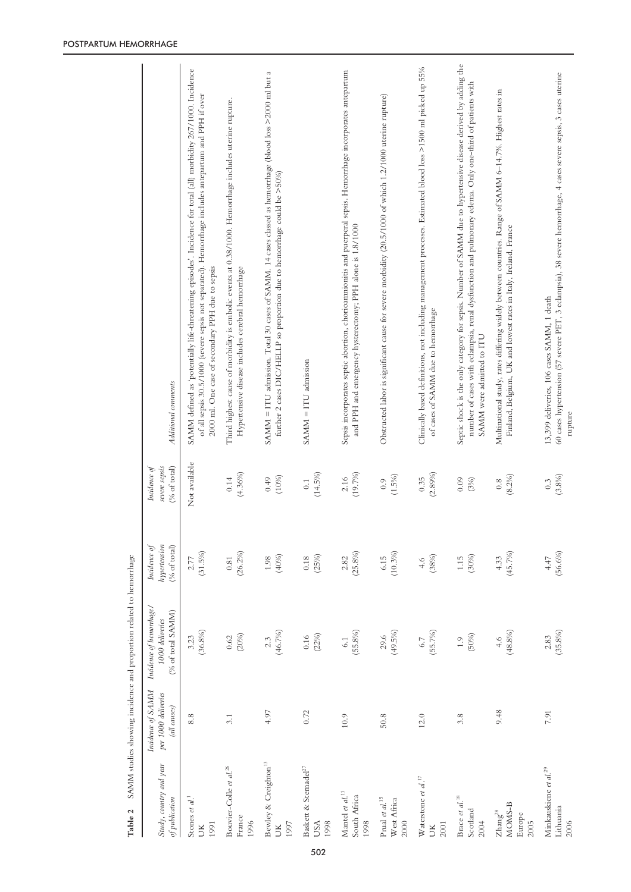| Study, country and year<br>of publication              | Incidence of SAMM<br>per 1000 deliveries<br>(all causes) | Incidence of hemorrhage/<br>(% of total SAMM)<br>1000 deliveries | Incidence of<br>hypertension<br>% of total) | severe sepsis<br>Incidence of<br>$(% \mathcal{O}_{0}\rightarrow \mathcal{O}_{0})$ | Additional comments                                                                                                                                                                                                                                                           |
|--------------------------------------------------------|----------------------------------------------------------|------------------------------------------------------------------|---------------------------------------------|-----------------------------------------------------------------------------------|-------------------------------------------------------------------------------------------------------------------------------------------------------------------------------------------------------------------------------------------------------------------------------|
| Stones et $al.^1$<br>1991<br>ŠК                        | 8.8                                                      | $(36.8\%)$<br>3.23                                               | (31.5%)<br>$2.77$                           | Not available                                                                     | SAMM defined as 'potentially life-threatening episodes'. Incidence for total (all) morbidity 267/1000. Incidence<br>of all sepsis 30.5/1000 (severe sepsis not separated). Hemorrhage includes antepartum and PPH if over<br>2000 ml. One case of secondary PPH due to sepsis |
| Bouvier-Colle et al. <sup>26</sup><br>France<br>1996   | 3.1                                                      | (20%)<br>0.62                                                    | $(26.2\%)$<br>$\!0.81$                      | $(4.36\%)$<br>0.14                                                                | Third highest cause of morbidity is embolic events at 0.38/1000. Hemorrhage includes uterine rupture.<br>Hypertensive disease includes cerebral hemorrhage                                                                                                                    |
| Bewley & Creighton <sup>13</sup><br>1997<br>ŬК         | 4.97                                                     | (46.7%)<br>$2.\overline{3}$                                      | (40%)<br>$1.98\,$                           | (10%)<br>0.49                                                                     | SAMM = ITU admission. Total 30 cases of SAMM. 14 cases classed as hemorrhage (blood loss >2000 ml but a<br>further 2 cases DIC/HELLP so proportion due to hemorrhage could be >50%)                                                                                           |
| Baskett & Sternadel <sup>27</sup><br>1998<br>USA       | 0.72                                                     | (22%)<br>$0.16\,$                                                | (25%)<br>$0.18\,$                           | (14.5%)<br>$\overline{0}$ :                                                       | SAMM = ITU admission                                                                                                                                                                                                                                                          |
| Mantel et al. <sup>11</sup><br>South Africa<br>1998    | 10.9                                                     | $(55.8\%)$<br>6.1                                                | $(25.8\%)$<br>2.82                          | (19.7%<br>2.16                                                                    | Sepsis incorporates septic abortion, chorioanmionitis and puerperal sepsis. Hemorrhage incorporates antepartum<br>and PPH and emergency hysterectomy; PPH alone is 1.8/1000                                                                                                   |
| Prual $et\;al.^{15}$<br>West Africa<br>2000            | 50.8                                                     | (49.5%)<br>29.6                                                  | (10.3%)<br>6.15                             | (1.5%)<br>0.9                                                                     | Obstructed labor is significant cause for severe morbidity (20.5/1000 of which 1.2/1000 uterine rupture)                                                                                                                                                                      |
| Waterstone et al. $^{17}$<br>2001<br>ŬК                | 12.0                                                     | (55.7%)<br>6.7                                                   | (38%)<br>4.6                                | (2.89%)<br>0.35                                                                   | Clinically based definitions, not including management processes. Estimated blood loss >1500 ml picked up $55\%$<br>of cases of SAMM due to hemorrhage                                                                                                                        |
| Brace et al. <sup>18</sup><br>Scotland<br>2004         | 3.8                                                      | (50%)<br>1.9                                                     | 1.15<br>(30%)                               | 0.09<br>(3%)                                                                      | Septic shock is the only category for sepsis. Number of SAMM due to hypertensive disease derived by adding the<br>number of cases with eclampsia, renal dysfunction and pulmonary edema. Only one-third of patients with<br>SAMM were admitted to ITU                         |
| MOMS-B<br>Zhang <sup>28</sup><br>Europe<br>2005        | 9.48                                                     | (48.8%)<br>4.6                                                   | (45.7%)<br>4.33                             | $(8.2\%)$<br>0.8                                                                  | Multinational study, rates differing widely between countries. Range of SAMM 6-14.7%. Highest rates in<br>Finland, Belgium, UK and lowest rates in Italy, Ireland, France                                                                                                     |
| Minkauskiene et al. <sup>29</sup><br>Lithuania<br>2006 | 7.91                                                     | $(35.8\%)$<br>2.83                                               | (56.6%)<br>$4.47$                           | $(3.8\%)$<br>0.3                                                                  | 60 cases hypertension (57 severe PET, 3 eclampsia), 38 severe hemorrhage, 4 cases severe sepsis, 3 cases uterine<br>13,399 deliveries, 106 cases SAMM, 1 death<br>rupture                                                                                                     |

Table 2 SAMM studies showing incidence and proportion related to hemorrhage **Table 2** SAMM studies showing incidence and proportion related to hemorrhage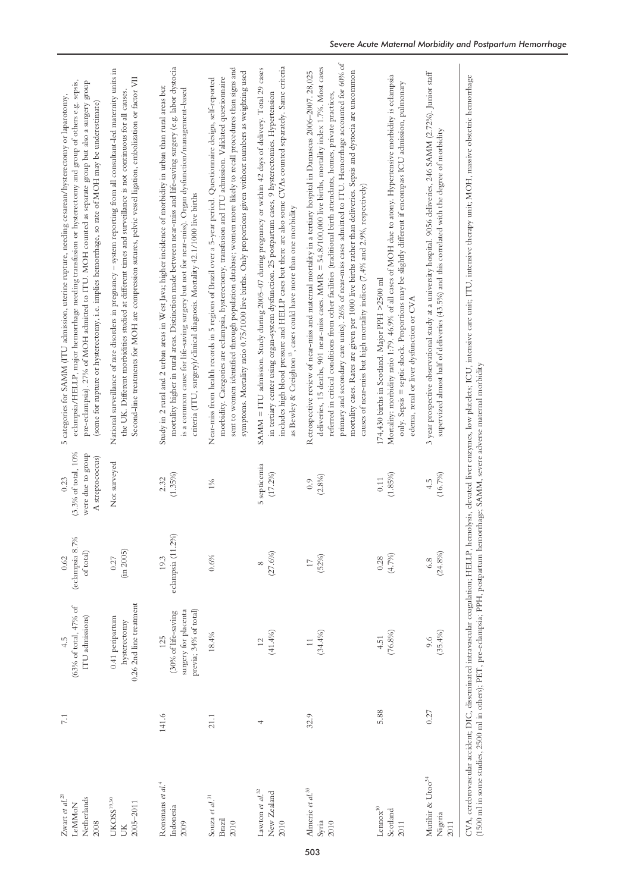| Zwart et al. $^{20}$<br>Netherlands<br>LeMMoN<br>2008                                                                                 | $7.1\,$ | (63% of total, 47% of<br>ITU admissions)<br>4.5                             | (eclampsia 8.7%<br>of total)<br>0.62 | $(3.3\% \text{ of total}, 10\%$<br>were due to group<br>A streptococcus)<br>0.23 | eclampsia/HELLP, major hemorrhage needing transfusion or hysterectomy and group of others e.g. sepsis,<br>pre-eclampsia). 27% of MOH admitted to ITU. MOH counted as separate group but also a surgery group<br>categories for SAMM (ITU admission, uterine rupture, needing cesarean/hysterectomy or laparotomy,<br>(some for rupture or hysterectomy, i.e. implies hemorrhage, so rate of MOH may be underestimate)<br>ĩυ,                                                                                                                                                                                                                                    |
|---------------------------------------------------------------------------------------------------------------------------------------|---------|-----------------------------------------------------------------------------|--------------------------------------|----------------------------------------------------------------------------------|-----------------------------------------------------------------------------------------------------------------------------------------------------------------------------------------------------------------------------------------------------------------------------------------------------------------------------------------------------------------------------------------------------------------------------------------------------------------------------------------------------------------------------------------------------------------------------------------------------------------------------------------------------------------|
| $\mathrm{UKOSS}^{19,30}$<br>2005-2011<br>ŬК                                                                                           |         | 0.26 2nd line treatment<br>0.41 peripartum<br>hysterectomy                  | (in 2005)<br>0.27                    | Not surveyed                                                                     | National surveillance of rare disorders in pregnancy - system reporting from all consultant-led maternity units in<br>Second-line treatments for MOH are compression sutures, pelvic vessel ligation, embolization or factor VII<br>the UK. Different morbidities studied at different times and surveillance is not continuous for all causes.                                                                                                                                                                                                                                                                                                                 |
| Ronsmans et al. <sup>4</sup><br>Indonesia<br>2009                                                                                     | 141.6   | previa; 34% of total)<br>surgery for placenta<br>(30% of life-saving<br>125 | eclampsia (11.2%)<br>19.3            | $(1.35\%)$<br>2.32                                                               | mortality higher in rural areas. Distinction made between near-miss and life-saving surgery (e.g. labor dystocia<br>Study in 2 rural and 2 urban areas in West Java; higher incidence of morbidity in urban than rural areas but<br>is a common cause for life-saving surgery but not for near-miss). Organ dysfunction/management-based<br>criteria (ITU, surgery)/clinical diagnosis. Mortality 42.1/1000 live births                                                                                                                                                                                                                                         |
| Souza et al. $^{31}$<br>Brazil<br>2010                                                                                                | 21.1    | 18.4%                                                                       | 0.6%                                 | $1\%$                                                                            | sent to women identified through population database; women more likely to recall procedures than signs and<br>symptoms. Mortality ratio 0.75/1000 live births. Only proportions given without numbers as weighting used<br>morbidity. Categories are eclampsia, hysterectomy, transfusion and ITU admission. Validated questionnaire<br>Near-miss from health records in 5 regions of Brazil over a 5-year period. Questionnaire design, self-reported                                                                                                                                                                                                         |
| Lawton $et\;al.^{32}$<br>New Zealand<br>2010                                                                                          | 4       | (41.4%<br>$\overline{c}$                                                    | (27.6%)<br>$\infty$                  | 5 septicemia<br>$(17.2\%)$                                                       | includes high blood pressure and HELLP cases but there are also some CVAs counted separately. Same criteria<br>SAMM = ITU admission. Study during 2005-07 during pregnancy or within 42 days of delivery. Total 29 cases<br>in tertiary center using organ-system dysfunction. 25 postpartum cases, 9 hysterectomies. Hypertension<br>as Bewley & Creighton <sup>13</sup> , cases could have more than one morbidity                                                                                                                                                                                                                                            |
| Almerie et al. <sup>33</sup><br>Syria<br>2010                                                                                         | 32.9    | $(34.4\%)$<br>$\overline{11}$                                               | (52%)<br>$\overline{17}$             | (2.8%)<br>0.9                                                                    | primary and secondary care units). 26% of near-miss cases admitted to ITU. Hemorrhage accounted for 60% of<br>deliveries, 15 deaths, 901 near-miss cases. MMR = 54.8/100,000 live births, mortality index 1.7%. Most cases<br>mortality cases. Rates are given per 1000 live births rather than deliveries. Sepsis and dystocia are uncommon<br>Retrospective review of near-miss and maternal mortality in a tertiary hospital in Damascus 2006-2007. 28,025<br>referred in critical conditions from other facilities (traditional birth attendants, homes, private practices,<br>causes of near-miss but high mortality indices (7.4% and 2.9%, respectively) |
| $\mbox{Lemox}^{10}$<br>Scotland<br>2011                                                                                               | 5.88    | $(76.8\%)$<br>4.51                                                          | (4.7%<br>0.28                        | (1.85%)<br>0.11                                                                  | Mortality: morbidity ratio 1:79. 46.9% of all cases of MOH due to atony. Hypertensive morbidity is eclampsia<br>only. Sepsis = septic shock. Proportions may be slightly different if encompass ICU admission, pulmonary<br>174,430 births in Scotland. Major PPH >2500 ml<br>edema, renal or liver dysfunction or CVA                                                                                                                                                                                                                                                                                                                                          |
| Mutihir & Utoo <sup>34</sup><br>Nigeria<br>2011                                                                                       | 0.27    | $(35.4\%)$<br>9.6                                                           | $(24.8\%)$<br>6.8                    | (16.7%)<br>4.5                                                                   | 3 year prospective observational study at a university hospital. 9056 deliveries, 246 SAMM (2.72%). Junior staff<br>supervized almost half of deliveries (43.5%) and this correlated with the degree of morbidity                                                                                                                                                                                                                                                                                                                                                                                                                                               |
| (1500 ml in some studies, 2500 ml in others); PET, pre-eclampsia; PPH, postpartum hemorrhage; SAMM, severe adverse maternal morbidity |         |                                                                             |                                      |                                                                                  | CVA, cerebrovascular accident; DIC, disseminated intravascular coagulation; HELLP, hemolysis, elevated liver enzymes, low platelets; ICU, intensive care unit; ITU, intensive therapy unit; MOH, massive obstetric hemorrhage                                                                                                                                                                                                                                                                                                                                                                                                                                   |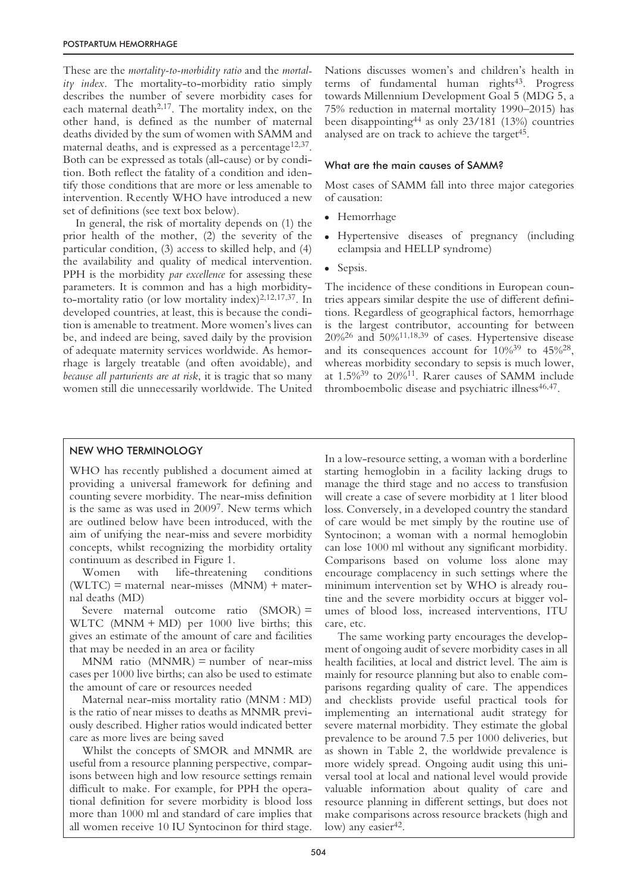These are the *mortality-to-morbidity ratio* and the *mortality index*. The mortality-to-morbidity ratio simply describes the number of severe morbidity cases for each maternal death<sup>2,17</sup>. The mortality index, on the other hand, is defined as the number of maternal deaths divided by the sum of women with SAMM and maternal deaths, and is expressed as a percentage<sup>12,37</sup>. Both can be expressed as totals (all-cause) or by condition. Both reflect the fatality of a condition and identify those conditions that are more or less amenable to intervention. Recently WHO have introduced a new set of definitions (see text box below).

In general, the risk of mortality depends on (1) the prior health of the mother, (2) the severity of the particular condition, (3) access to skilled help, and (4) the availability and quality of medical intervention. PPH is the morbidity *par excellence* for assessing these parameters. It is common and has a high morbidityto-mortality ratio (or low mortality index) $2,12,17,37$ . In developed countries, at least, this is because the condition is amenable to treatment. More women's lives can be, and indeed are being, saved daily by the provision of adequate maternity services worldwide. As hemorrhage is largely treatable (and often avoidable), and *because all parturients are at risk*, it is tragic that so many women still die unnecessarily worldwide. The United Nations discusses women's and children's health in terms of fundamental human rights<sup>43</sup>. Progress towards Millennium Development Goal 5 (MDG 5, a 75% reduction in maternal mortality 1990–2015) has been disappointing44 as only 23/181 (13%) countries analysed are on track to achieve the target<sup>45</sup>.

#### What are the main causes of SAMM?

Most cases of SAMM fall into three major categories of causation:

- Hemorrhage
- Hypertensive diseases of pregnancy (including eclampsia and HELLP syndrome)
- Sepsis.

The incidence of these conditions in European countries appears similar despite the use of different definitions. Regardless of geographical factors, hemorrhage is the largest contributor, accounting for between  $20\%$ <sup>26</sup> and  $50\%$ <sup>11,18,39</sup> of cases. Hypertensive disease and its consequences account for 10%39 to 45%28, whereas morbidity secondary to sepsis is much lower, at 1.5%39 to 20%11. Rarer causes of SAMM include thromboembolic disease and psychiatric illness<sup>46,47</sup>.

## NEW WHO TERMINOLOGY

WHO has recently published a document aimed at providing a universal framework for defining and counting severe morbidity. The near-miss definition is the same as was used in 20097. New terms which are outlined below have been introduced, with the aim of unifying the near-miss and severe morbidity concepts, whilst recognizing the morbidity ortality continuum as described in Figure 1.

Women with life-threatening conditions  $(WLTC)$  = maternal near-misses  $(MNM)$  + maternal deaths (MD)

Severe maternal outcome ratio (SMOR) = WLTC  $(MNM + MD)$  per 1000 live births; this gives an estimate of the amount of care and facilities that may be needed in an area or facility

 $MNM$  ratio  $(MNMR)$  = number of near-miss cases per 1000 live births; can also be used to estimate the amount of care or resources needed

Maternal near-miss mortality ratio (MNM : MD) is the ratio of near misses to deaths as MNMR previously described. Higher ratios would indicated better care as more lives are being saved

Whilst the concepts of SMOR and MNMR are useful from a resource planning perspective, comparisons between high and low resource settings remain difficult to make. For example, for PPH the operational definition for severe morbidity is blood loss more than 1000 ml and standard of care implies that all women receive 10 IU Syntocinon for third stage.

In a low-resource setting, a woman with a borderline starting hemoglobin in a facility lacking drugs to manage the third stage and no access to transfusion will create a case of severe morbidity at 1 liter blood loss. Conversely, in a developed country the standard of care would be met simply by the routine use of Syntocinon; a woman with a normal hemoglobin can lose 1000 ml without any significant morbidity. Comparisons based on volume loss alone may encourage complacency in such settings where the minimum intervention set by WHO is already routine and the severe morbidity occurs at bigger volumes of blood loss, increased interventions, ITU care, etc.

The same working party encourages the development of ongoing audit of severe morbidity cases in all health facilities, at local and district level. The aim is mainly for resource planning but also to enable comparisons regarding quality of care. The appendices and checklists provide useful practical tools for implementing an international audit strategy for severe maternal morbidity. They estimate the global prevalence to be around 7.5 per 1000 deliveries, but as shown in Table 2, the worldwide prevalence is more widely spread. Ongoing audit using this universal tool at local and national level would provide valuable information about quality of care and resource planning in different settings, but does not make comparisons across resource brackets (high and low) any easier<sup>42</sup>.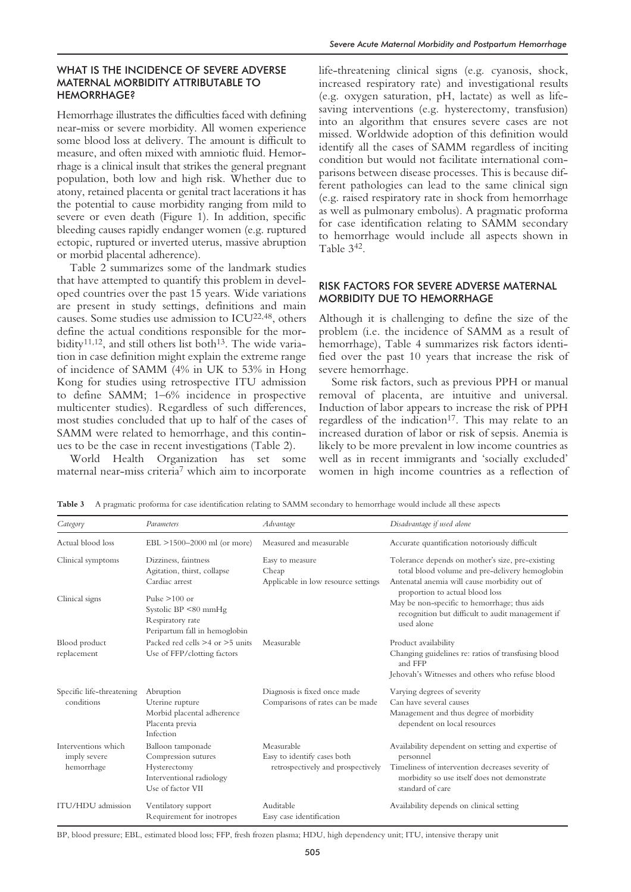# WHAT IS THE INCIDENCE OF SEVERE ADVERSE MATERNAL MORBIDITY ATTRIBUTABLE TO **HEMORRHAGE?**

Hemorrhage illustrates the difficulties faced with defining near-miss or severe morbidity. All women experience some blood loss at delivery. The amount is difficult to measure, and often mixed with amniotic fluid. Hemorrhage is a clinical insult that strikes the general pregnant population, both low and high risk. Whether due to atony, retained placenta or genital tract lacerations it has the potential to cause morbidity ranging from mild to severe or even death (Figure 1). In addition, specific bleeding causes rapidly endanger women (e.g. ruptured ectopic, ruptured or inverted uterus, massive abruption or morbid placental adherence).

Table 2 summarizes some of the landmark studies that have attempted to quantify this problem in developed countries over the past 15 years. Wide variations are present in study settings, definitions and main causes. Some studies use admission to ICU<sup>22,48</sup>, others define the actual conditions responsible for the morbidity<sup>11,12</sup>, and still others list both<sup>13</sup>. The wide variation in case definition might explain the extreme range of incidence of SAMM (4% in UK to 53% in Hong Kong for studies using retrospective ITU admission to define SAMM; 1–6% incidence in prospective multicenter studies). Regardless of such differences, most studies concluded that up to half of the cases of SAMM were related to hemorrhage, and this continues to be the case in recent investigations (Table 2).

World Health Organization has set some maternal near-miss criteria7 which aim to incorporate

life-threatening clinical signs (e.g. cyanosis, shock, increased respiratory rate) and investigational results (e.g. oxygen saturation, pH, lactate) as well as lifesaving interventions (e.g. hysterectomy, transfusion) into an algorithm that ensures severe cases are not missed. Worldwide adoption of this definition would identify all the cases of SAMM regardless of inciting condition but would not facilitate international comparisons between disease processes. This is because different pathologies can lead to the same clinical sign (e.g. raised respiratory rate in shock from hemorrhage as well as pulmonary embolus). A pragmatic proforma for case identification relating to SAMM secondary to hemorrhage would include all aspects shown in Table 342.

# RISK FACTORS FOR SEVERE ADVERSE MATERNAL MORBIDITY DUE TO HEMORRHAGE

Although it is challenging to define the size of the problem (i.e. the incidence of SAMM as a result of hemorrhage), Table 4 summarizes risk factors identified over the past 10 years that increase the risk of severe hemorrhage.

Some risk factors, such as previous PPH or manual removal of placenta, are intuitive and universal. Induction of labor appears to increase the risk of PPH regardless of the indication<sup>17</sup>. This may relate to an increased duration of labor or risk of sepsis. Anemia is likely to be more prevalent in low income countries as well as in recent immigrants and 'socially excluded' women in high income countries as a reflection of

|  |  |  | Table 3 A pragmatic proforma for case identification relating to SAMM secondary to hemorrhage would include all these aspects |  |
|--|--|--|-------------------------------------------------------------------------------------------------------------------------------|--|
|--|--|--|-------------------------------------------------------------------------------------------------------------------------------|--|

| Category                                          | Parameters                                                                                                | Advantage                                                                      | Disadvantage if used alone                                                                                                                                                              |
|---------------------------------------------------|-----------------------------------------------------------------------------------------------------------|--------------------------------------------------------------------------------|-----------------------------------------------------------------------------------------------------------------------------------------------------------------------------------------|
| Actual blood loss                                 | $EBL > 1500 - 2000$ ml (or more)                                                                          | Measured and measurable                                                        | Accurate quantification notoriously difficult                                                                                                                                           |
| Clinical symptoms                                 | Dizziness, faintness<br>Agitation, thirst, collapse<br>Cardiac arrest                                     | Easy to measure<br>Cheap<br>Applicable in low resource settings                | Tolerance depends on mother's size, pre-existing<br>total blood volume and pre-delivery hemoglobin<br>Antenatal anemia will cause morbidity out of                                      |
| Clinical signs                                    | Pulse $>100$ or<br>Systolic BP $\leq$ 80 mmHg<br>Respiratory rate<br>Peripartum fall in hemoglobin        |                                                                                | proportion to actual blood loss<br>May be non-specific to hemorrhage; thus aids<br>recognition but difficult to audit management if<br>used alone                                       |
| Blood product                                     | Packed red cells >4 or >5 units                                                                           | Measurable                                                                     | Product availability                                                                                                                                                                    |
| replacement                                       | Use of FFP/clotting factors                                                                               |                                                                                | Changing guidelines re: ratios of transfusing blood<br>and FFP                                                                                                                          |
|                                                   |                                                                                                           |                                                                                | Jehovah's Witnesses and others who refuse blood                                                                                                                                         |
| Specific life-threatening<br>conditions           | Abruption<br>Uterine rupture<br>Morbid placental adherence<br>Placenta previa<br>Infection                | Diagnosis is fixed once made<br>Comparisons of rates can be made               | Varying degrees of severity<br>Can have several causes<br>Management and thus degree of morbidity<br>dependent on local resources                                                       |
| Interventions which<br>imply severe<br>hemorrhage | Balloon tamponade<br>Compression sutures<br>Hysterectomy<br>Interventional radiology<br>Use of factor VII | Measurable<br>Easy to identify cases both<br>retrospectively and prospectively | Availability dependent on setting and expertise of<br>personnel<br>Timeliness of intervention decreases severity of<br>morbidity so use itself does not demonstrate<br>standard of care |
| ITU/HDU admission                                 | Ventilatory support<br>Requirement for inotropes                                                          | Auditable<br>Easy case identification                                          | Availability depends on clinical setting                                                                                                                                                |

BP, blood pressure; EBL, estimated blood loss; FFP, fresh frozen plasma; HDU, high dependency unit; ITU, intensive therapy unit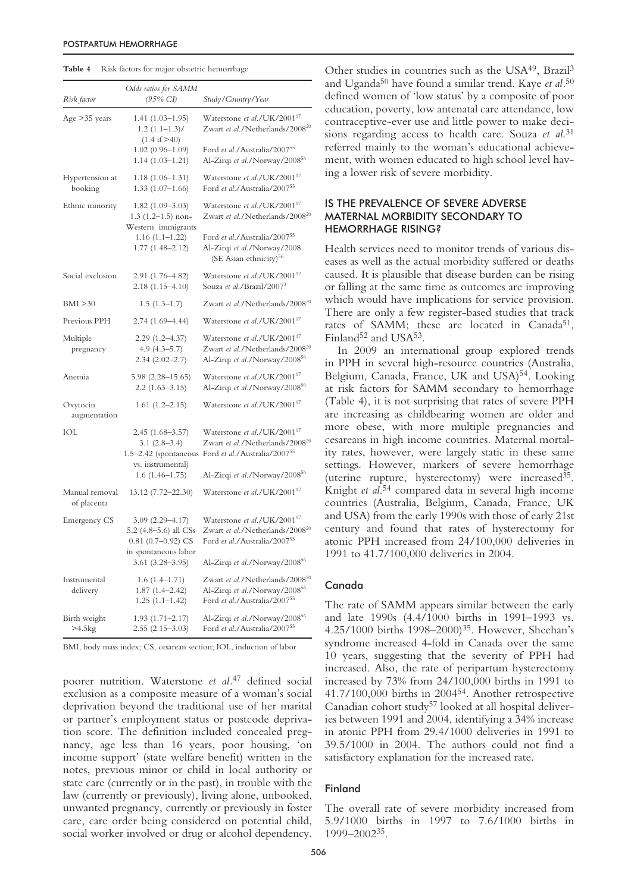| Table 4<br>Risk factors for major obstetric hemorrhage |  |
|--------------------------------------------------------|--|
|--------------------------------------------------------|--|

| Risk factor                   | Odds ratios for SAMM<br>(95% CI)                                                             | Study/Country/Year                                                                                                                           |
|-------------------------------|----------------------------------------------------------------------------------------------|----------------------------------------------------------------------------------------------------------------------------------------------|
| Age $>35$ years               | $1.41(1.03-1.95)$<br>$1.2(1.1-1.3)$ /<br>$(1.4 \text{ if } > 40)$                            | Waterstone et al./UK/2001 <sup>17</sup><br>Zwart et al./Netherlands/2008 <sup>20</sup>                                                       |
|                               | $1.02(0.96 - 1.09)$<br>$1.14(1.03 - 1.21)$                                                   | Ford et al./Australia/200755<br>Al-Zirqi et al./Norway/200856                                                                                |
| Hypertension at<br>booking    | $1.18(1.06-1.31)$<br>$1.33(1.07-1.66)$                                                       | Waterstone et al./UK/2001 <sup>17</sup><br>Ford et al./Australia/200755                                                                      |
| Ethnic minority               | $1.82(1.09-3.03)$<br>$1.3(1.2-1.5)$ non-<br>Western immigrants                               | Waterstone et al./UK/2001 <sup>17</sup><br>Zwart et al./Netherlands/2008 <sup>20</sup>                                                       |
|                               | $1.16(1.1 - 1.22)$<br>$1.77(1.48 - 2.12)$                                                    | Ford et al./Australia/200755<br>Al-Zirqi et al./Norway/2008<br>(SE Asian ethnicity) <sup>56</sup>                                            |
| Social exclusion              | 2.91 (1.76–4.82)<br>$2.18(1.15 - 4.10)$                                                      | Waterstone et al./UK/2001 <sup>17</sup><br>Souza et al./Brazil/2007 <sup>3</sup>                                                             |
| BMI > 30                      | $1.5(1.3-1.7)$                                                                               | Zwart et al./Netherlands/2008 <sup>20</sup>                                                                                                  |
| Previous PPH                  | 2.74 (1.69–4.44)                                                                             | Waterstone et al./UK/2001 <sup>17</sup>                                                                                                      |
| Multiple<br>pregnancy         | $2.29(1.2 - 4.37)$<br>$4.9(4.3 - 5.7)$<br>$2.34(2.02 - 2.7)$                                 | Waterstone et al./UK/2001 <sup>17</sup><br>Zwart et al./Netherlands/2008 <sup>20</sup><br>Al-Zirqi et al./Norway/2008 <sup>56</sup>          |
| Anemia                        | 5.98 (2.28–15.65)<br>$2.2(1.63 - 3.15)$                                                      | Waterstone et al./UK/2001 <sup>17</sup><br>Al-Zirqi et al./Norway/2008 <sup>56</sup>                                                         |
| Oxytocin<br>augmentation      | $1.61(1.2 - 2.15)$                                                                           | Waterstone et al./UK/2001 <sup>17</sup>                                                                                                      |
| IOL                           | $2.45(1.68 - 3.57)$<br>$3.1(2.8-3.4)$<br>vs. instrumental)                                   | Waterstone et al./UK/2001 <sup>17</sup><br>Zwart et al./Netherlands/2008 <sup>20</sup><br>1.5-2.42 (spontaneous Ford et al./Australia/200755 |
|                               | $1.6(1.46-1.75)$                                                                             | Al-Zirqi et al./Norway/200856                                                                                                                |
| Manual removal<br>of placenta | 13.12 (7.72–22.30)                                                                           | Waterstone et al./UK/2001 <sup>17</sup>                                                                                                      |
| <b>Emergency CS</b>           | $3.09(2.29 - 4.17)$<br>5.2 (4.8-5.6) all CSs<br>$0.81$ (0.7-0.92) CS<br>in spontaneous labor | Waterstone et al./UK/2001 <sup>17</sup><br>Zwart et al./Netherlands/2008 <sup>20</sup><br>Ford et al./Australia/200755                       |
|                               | $3.61 (3.28 - 3.95)$                                                                         | Al-Zirqi et al./Norway/2008 <sup>56</sup>                                                                                                    |
| Instrumental<br>delivery      | $1.6(1.4-1.71)$<br>$1.87(1.4 - 2.42)$<br>$1.25(1.1-1.42)$                                    | Zwart et al./Netherlands/2008 <sup>20</sup><br>Al-Zirqi et al./Norway/200856<br>Ford et al./Australia/200755                                 |
| Birth weight<br>>4.5kg        | $1.93(1.71 - 2.17)$<br>$2.55(2.15-3.03)$                                                     | Al-Zirqi et al./Norway/200856<br>Ford et al./Australia/200755                                                                                |

BMI, body mass index; CS, cesarean section; IOL, induction of labor

poorer nutrition. Waterstone *et al.*<sup>47</sup> defined social exclusion as a composite measure of a woman's social deprivation beyond the traditional use of her marital or partner's employment status or postcode deprivation score. The definition included concealed pregnancy, age less than 16 years, poor housing, 'on income support' (state welfare benefit) written in the notes, previous minor or child in local authority or state care (currently or in the past), in trouble with the law (currently or previously), living alone, unbooked, unwanted pregnancy, currently or previously in foster care, care order being considered on potential child, social worker involved or drug or alcohol dependency.

Other studies in countries such as the USA49, Brazil3 and Uganda50 have found a similar trend. Kaye *et al.*<sup>50</sup> defined women of 'low status' by a composite of poor education, poverty, low antenatal care attendance, low contraceptive-ever use and little power to make decisions regarding access to health care. Souza *et al*. 31 referred mainly to the woman's educational achievement, with women educated to high school level having a lower risk of severe morbidity.

# IS THE PREVALENCE OF SEVERE ADVERSE MATERNAL MORBIDITY SECONDARY TO HEMORRHAGE RISING?

Health services need to monitor trends of various diseases as well as the actual morbidity suffered or deaths caused. It is plausible that disease burden can be rising or falling at the same time as outcomes are improving which would have implications for service provision. There are only a few register-based studies that track rates of SAMM; these are located in Canada<sup>51</sup>, Finland<sup>52</sup> and USA<sup>53</sup>.

In 2009 an international group explored trends in PPH in several high-resource countries (Australia, Belgium, Canada, France, UK and USA)<sup>54</sup>. Looking at risk factors for SAMM secondary to hemorrhage (Table 4), it is not surprising that rates of severe PPH are increasing as childbearing women are older and more obese, with more multiple pregnancies and cesareans in high income countries. Maternal mortality rates, however, were largely static in these same settings. However, markers of severe hemorrhage (uterine rupture, hysterectomy) were increased35. Knight *et al*. <sup>54</sup> compared data in several high income countries (Australia, Belgium, Canada, France, UK and USA) from the early 1990s with those of early 21st century and found that rates of hysterectomy for atonic PPH increased from 24/100,000 deliveries in 1991 to 41.7/100,000 deliveries in 2004.

## Canada

The rate of SAMM appears similar between the early and late 1990s (4.4/1000 births in 1991–1993 vs. 4.25/1000 births 1998–2000)35. However, Sheehan's syndrome increased 4-fold in Canada over the same 10 years, suggesting that the severity of PPH had increased. Also, the rate of peripartum hysterectomy increased by 73% from 24/100,000 births in 1991 to 41.7/100,000 births in 200454. Another retrospective Canadian cohort study<sup>57</sup> looked at all hospital deliveries between 1991 and 2004, identifying a 34% increase in atonic PPH from 29.4/1000 deliveries in 1991 to 39.5/1000 in 2004. The authors could not find a satisfactory explanation for the increased rate.

#### Finland

The overall rate of severe morbidity increased from 5.9/1000 births in 1997 to 7.6/1000 births in 1999–200235.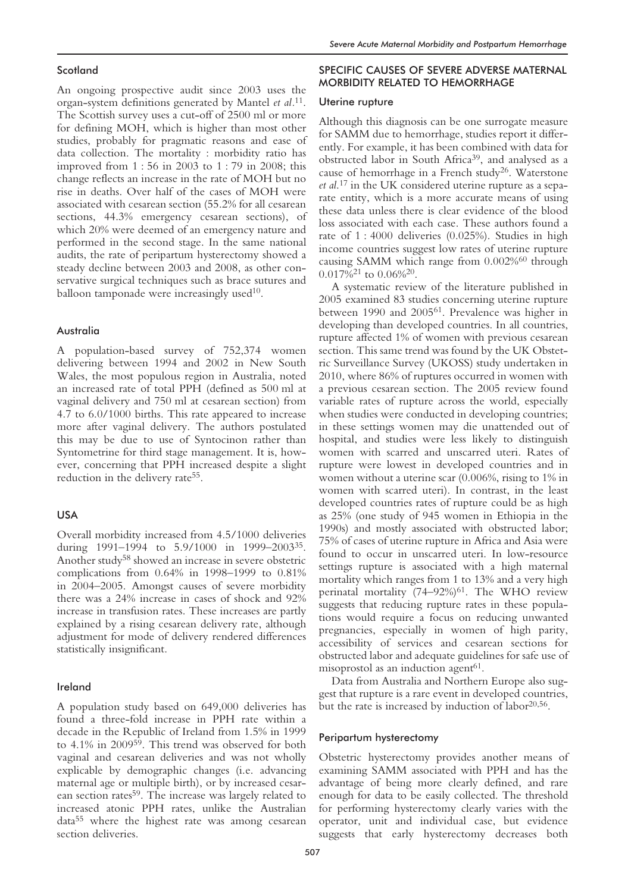## **Scotland**

An ongoing prospective audit since 2003 uses the organ-system definitions generated by Mantel *et al.*11. The Scottish survey uses a cut-off of 2500 ml or more for defining MOH, which is higher than most other studies, probably for pragmatic reasons and ease of data collection. The mortality : morbidity ratio has improved from 1 : 56 in 2003 to 1 : 79 in 2008; this change reflects an increase in the rate of MOH but no rise in deaths. Over half of the cases of MOH were associated with cesarean section (55.2% for all cesarean sections, 44.3% emergency cesarean sections), of which 20% were deemed of an emergency nature and performed in the second stage. In the same national audits, the rate of peripartum hysterectomy showed a steady decline between 2003 and 2008, as other conservative surgical techniques such as brace sutures and balloon tamponade were increasingly used $10$ .

# Australia

A population-based survey of 752,374 women delivering between 1994 and 2002 in New South Wales, the most populous region in Australia, noted an increased rate of total PPH (defined as 500 ml at vaginal delivery and 750 ml at cesarean section) from 4.7 to 6.0/1000 births. This rate appeared to increase more after vaginal delivery. The authors postulated this may be due to use of Syntocinon rather than Syntometrine for third stage management. It is, however, concerning that PPH increased despite a slight reduction in the delivery rate<sup>55</sup>.

# USA

Overall morbidity increased from 4.5/1000 deliveries during 1991-1994 to 5.9/1000 in 1999-2003<sup>35</sup>. Another study58 showed an increase in severe obstetric complications from 0.64% in 1998–1999 to 0.81% in 2004–2005. Amongst causes of severe morbidity there was a 24% increase in cases of shock and 92% increase in transfusion rates. These increases are partly explained by a rising cesarean delivery rate, although adjustment for mode of delivery rendered differences statistically insignificant.

#### Ireland

A population study based on 649,000 deliveries has found a three-fold increase in PPH rate within a decade in the Republic of Ireland from 1.5% in 1999 to 4.1% in 200959. This trend was observed for both vaginal and cesarean deliveries and was not wholly explicable by demographic changes (i.e. advancing maternal age or multiple birth), or by increased cesarean section rates59. The increase was largely related to increased atonic PPH rates, unlike the Australian data55 where the highest rate was among cesarean section deliveries.

# SPECIFIC CAUSES OF SEVERE ADVERSE MATERNAL MORBIDITY RELATED TO HEMORRHAGE

#### Uterine rupture

Although this diagnosis can be one surrogate measure for SAMM due to hemorrhage, studies report it differently. For example, it has been combined with data for obstructed labor in South Africa39, and analysed as a cause of hemorrhage in a French study26. Waterstone *et al*. <sup>17</sup> in the UK considered uterine rupture as a separate entity, which is a more accurate means of using these data unless there is clear evidence of the blood loss associated with each case. These authors found a rate of 1 : 4000 deliveries (0.025%). Studies in high income countries suggest low rates of uterine rupture causing SAMM which range from 0.002%<sup>60</sup> through  $0.017\%^{21}$  to  $0.06\%^{20}$ .

A systematic review of the literature published in 2005 examined 83 studies concerning uterine rupture between 1990 and 200561. Prevalence was higher in developing than developed countries. In all countries, rupture affected 1% of women with previous cesarean section. This same trend was found by the UK Obstetric Surveillance Survey (UKOSS) study undertaken in 2010, where 86% of ruptures occurred in women with a previous cesarean section. The 2005 review found variable rates of rupture across the world, especially when studies were conducted in developing countries; in these settings women may die unattended out of hospital, and studies were less likely to distinguish women with scarred and unscarred uteri. Rates of rupture were lowest in developed countries and in women without a uterine scar (0.006%, rising to 1% in women with scarred uteri). In contrast, in the least developed countries rates of rupture could be as high as 25% (one study of 945 women in Ethiopia in the 1990s) and mostly associated with obstructed labor; 75% of cases of uterine rupture in Africa and Asia were found to occur in unscarred uteri. In low-resource settings rupture is associated with a high maternal mortality which ranges from 1 to 13% and a very high perinatal mortality (74-92%)<sup>61</sup>. The WHO review suggests that reducing rupture rates in these populations would require a focus on reducing unwanted pregnancies, especially in women of high parity, accessibility of services and cesarean sections for obstructed labor and adequate guidelines for safe use of misoprostol as an induction agent<sup>61</sup>.

Data from Australia and Northern Europe also suggest that rupture is a rare event in developed countries, but the rate is increased by induction of labor<sup>20,56</sup>.

#### Peripartum hysterectomy

Obstetric hysterectomy provides another means of examining SAMM associated with PPH and has the advantage of being more clearly defined, and rare enough for data to be easily collected. The threshold for performing hysterectomy clearly varies with the operator, unit and individual case, but evidence suggests that early hysterectomy decreases both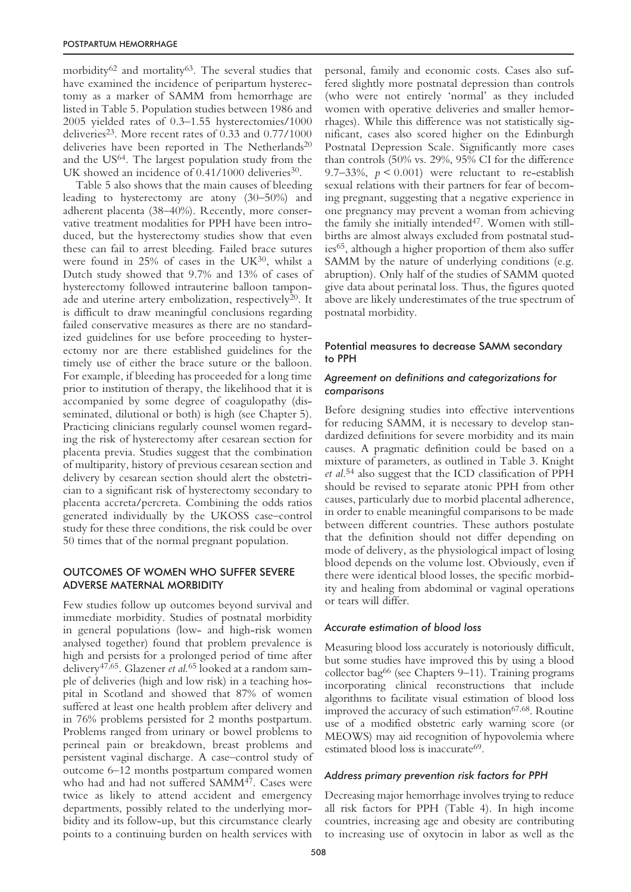morbidity $62$  and mortality $63$ . The several studies that have examined the incidence of peripartum hysterectomy as a marker of SAMM from hemorrhage are listed in Table 5. Population studies between 1986 and 2005 yielded rates of 0.3–1.55 hysterectomies/1000 deliveries<sup>23</sup>. More recent rates of  $0.33$  and  $0.77/1000$ deliveries have been reported in The Netherlands<sup>20</sup> and the US64. The largest population study from the UK showed an incidence of  $0.41/1000$  deliveries<sup>30</sup>.

Table 5 also shows that the main causes of bleeding leading to hysterectomy are atony (30–50%) and adherent placenta (38–40%). Recently, more conservative treatment modalities for PPH have been introduced, but the hysterectomy studies show that even these can fail to arrest bleeding. Failed brace sutures were found in 25% of cases in the UK<sup>30</sup>, whilst a Dutch study showed that 9.7% and 13% of cases of hysterectomy followed intrauterine balloon tamponade and uterine artery embolization, respectively<sup>20</sup>. It is difficult to draw meaningful conclusions regarding failed conservative measures as there are no standardized guidelines for use before proceeding to hysterectomy nor are there established guidelines for the timely use of either the brace suture or the balloon. For example, if bleeding has proceeded for a long time prior to institution of therapy, the likelihood that it is accompanied by some degree of coagulopathy (disseminated, dilutional or both) is high (see Chapter 5). Practicing clinicians regularly counsel women regarding the risk of hysterectomy after cesarean section for placenta previa. Studies suggest that the combination of multiparity, history of previous cesarean section and delivery by cesarean section should alert the obstetrician to a significant risk of hysterectomy secondary to placenta accreta/percreta. Combining the odds ratios generated individually by the UKOSS case–control study for these three conditions, the risk could be over 50 times that of the normal pregnant population.

# OUTCOMES OF WOMEN WHO SUFFER SEVERE ADVERSE MATERNAL MORBIDITY

Few studies follow up outcomes beyond survival and immediate morbidity. Studies of postnatal morbidity in general populations (low- and high-risk women analysed together) found that problem prevalence is high and persists for a prolonged period of time after delivery47,65. Glazener *et al*. <sup>65</sup> looked at a random sample of deliveries (high and low risk) in a teaching hospital in Scotland and showed that 87% of women suffered at least one health problem after delivery and in 76% problems persisted for 2 months postpartum. Problems ranged from urinary or bowel problems to perineal pain or breakdown, breast problems and persistent vaginal discharge. A case–control study of outcome 6–12 months postpartum compared women who had and had not suffered SAMM47. Cases were twice as likely to attend accident and emergency departments, possibly related to the underlying morbidity and its follow-up, but this circumstance clearly points to a continuing burden on health services with personal, family and economic costs. Cases also suffered slightly more postnatal depression than controls (who were not entirely 'normal' as they included women with operative deliveries and smaller hemorrhages). While this difference was not statistically significant, cases also scored higher on the Edinburgh Postnatal Depression Scale. Significantly more cases than controls (50% vs. 29%, 95% CI for the difference 9.7–33%,  $p < 0.001$ ) were reluctant to re-establish sexual relations with their partners for fear of becoming pregnant, suggesting that a negative experience in one pregnancy may prevent a woman from achieving the family she initially intended<sup>47</sup>. Women with stillbirths are almost always excluded from postnatal studies<sup>65</sup>, although a higher proportion of them also suffer SAMM by the nature of underlying conditions (e.g. abruption). Only half of the studies of SAMM quoted give data about perinatal loss. Thus, the figures quoted above are likely underestimates of the true spectrum of postnatal morbidity.

# Potential measures to decrease SAMM secondary to PPH

# *Agreement on definitions and categorizations for comparisons*

Before designing studies into effective interventions for reducing SAMM, it is necessary to develop standardized definitions for severe morbidity and its main causes. A pragmatic definition could be based on a mixture of parameters, as outlined in Table 3. Knight *et al*. <sup>54</sup> also suggest that the ICD classification of PPH should be revised to separate atonic PPH from other causes, particularly due to morbid placental adherence, in order to enable meaningful comparisons to be made between different countries. These authors postulate that the definition should not differ depending on mode of delivery, as the physiological impact of losing blood depends on the volume lost. Obviously, even if there were identical blood losses, the specific morbidity and healing from abdominal or vaginal operations or tears will differ.

## *Accurate estimation of blood loss*

Measuring blood loss accurately is notoriously difficult, but some studies have improved this by using a blood collector bag66 (see Chapters 9–11). Training programs incorporating clinical reconstructions that include algorithms to facilitate visual estimation of blood loss improved the accuracy of such estimation<sup>67,68</sup>. Routine use of a modified obstetric early warning score (or MEOWS) may aid recognition of hypovolemia where estimated blood loss is inaccurate<sup>69</sup>.

## *Address primary prevention risk factors for PPH*

Decreasing major hemorrhage involves trying to reduce all risk factors for PPH (Table 4). In high income countries, increasing age and obesity are contributing to increasing use of oxytocin in labor as well as the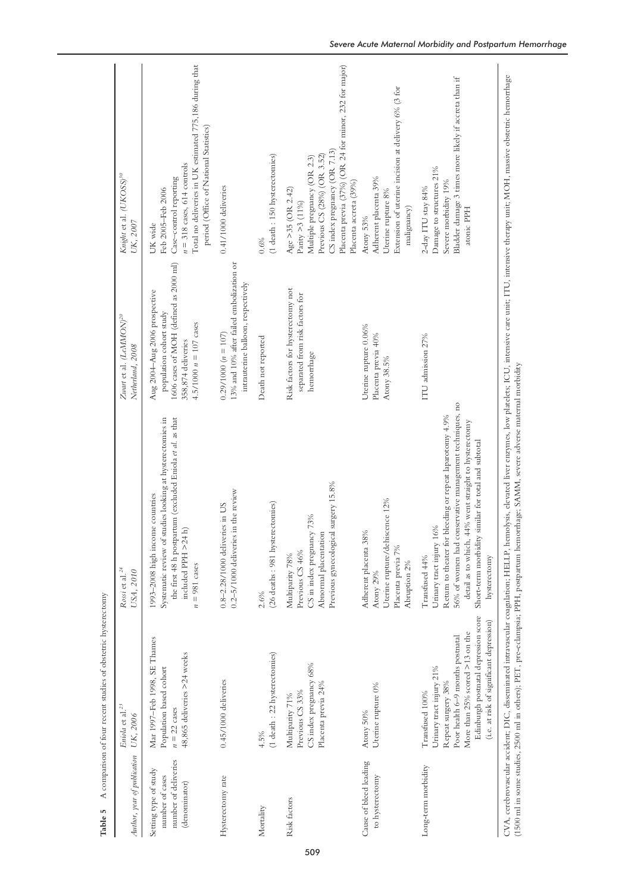| Author, year of publication                                                       | Eniola et al. <sup>23</sup><br>UK, 2006                                                                                                                                                                                      | Rossi et al. <sup>24</sup><br>USA, 2010                                                                                                                                                                                                                                                                 | Zwart et al. (LeMMON) <sup>20</sup><br>Netherland, 2008                                                                                              | Knight et al. (UKOSS) <sup>30</sup><br>UK, 2007                                                                                                                                                                           |
|-----------------------------------------------------------------------------------|------------------------------------------------------------------------------------------------------------------------------------------------------------------------------------------------------------------------------|---------------------------------------------------------------------------------------------------------------------------------------------------------------------------------------------------------------------------------------------------------------------------------------------------------|------------------------------------------------------------------------------------------------------------------------------------------------------|---------------------------------------------------------------------------------------------------------------------------------------------------------------------------------------------------------------------------|
| number of deliveries<br>Setting type of study<br>number of cases<br>(denominator) | Mar 1997-Feb 1998, SE Thames<br>48,865 deliveries >24 weeks<br>Population based cohort<br>$n = 22$ cases                                                                                                                     | the first 48 h postpartum (excluded Eniola et al. as that<br>Systematic review of studies looking at hysterectomies in<br>1993-2008 high income countries<br>included PPH >24 h)<br>$n = 981$ cases                                                                                                     | 1606 cases of MOH (defined as 2000 ml)<br>Aug 2004-Aug 2006 prospective<br>population cohort study<br>4.5/1000 $n = 107$ cases<br>358,874 deliveries | Total no deliveries in UK estimated 775,186 during that<br>period (Office of National Statistics)<br>$n = 318$ cases, $614$ controls<br>Case-control reporting<br>Feb 2005-Feb 2006<br>UK wide                            |
| Hysterectomy rate                                                                 | $0.45/1000$ deliveries                                                                                                                                                                                                       | $0.2 - 5/1000$ deliveries in the review<br>0.8-2.28/1000 deliveries in US                                                                                                                                                                                                                               | 13% and 10% after failed embolization or<br>intrauterine balloon, respectively<br>$0.29/1000 (n = 107)$                                              | $0.41/1000$ deliveries                                                                                                                                                                                                    |
| Mortality                                                                         | (1 death : 22 hysterectomies)<br>4.5%                                                                                                                                                                                        | (26 deaths: 981 hysterectomies)<br>2.6%                                                                                                                                                                                                                                                                 | Death not reported                                                                                                                                   | $(1$ death: $150$ hysterectomies)<br>0.6%                                                                                                                                                                                 |
| Risk factors                                                                      | CS index pregnancy 68%<br>Placenta previa 24%<br>Previous CS 33%<br>Multiparity 71%                                                                                                                                          | Previous gynecological surgery 15.8%<br>CS in index pregnancy 73%<br>Abnormal placentation<br>Previous CS 46%<br>Multiparity 78%                                                                                                                                                                        | Risk factors for hysterectomy not<br>separated from risk factors for<br>hemorrhage                                                                   | Placenta previa (37%) (OR 24 for minor, 232 for major)<br>CS index pregnancy (OR 7.13)<br>Previous CS (28%) (OR 3.52)<br>Multiple pregnancy (OR 2.3)<br>Placenta accreta (39%)<br>Age $>35$ (OR 2.42)<br>Parity > 3 (11%) |
| Cause of bleed leading<br>to hysterectomy                                         | Uterine rupture 0%<br>Atony 50%                                                                                                                                                                                              | Uterine rupture/dehiscence 12%<br>Adherent placenta 38%<br>Placenta previa 7%<br>Abruption 2%<br>Atony 29%                                                                                                                                                                                              | Uterine rupture 0.06%<br>Placenta previa 40%<br>Atony 38.5%                                                                                          | Extension of uterine incision at delivery 6% (3 for<br>Adherent placenta 39%<br>Uterine rupture 8%<br>malignancy)<br>Atony 53%                                                                                            |
| Long-term morbidity                                                               | Edinburgh postnatal depression score<br>(i.e. at risk of significant depression)<br>More than 25% scored >13 on the<br>Poor health 6-9 months postnatal<br>Urinary tract injury 21%<br>Repeat surgery 38%<br>Transfused 100% | 56% of women had conservative management techniques, no<br>Return to theater for bleeding or repeat laparotomy 4.9%<br>44% went straight to hysterectomy<br>Short-term morbidity similar for total and subtotal<br>16%<br>detail as to which,<br>Urinary tract injury<br>hysterectomy<br>Transfused 44% | ITU admission 27%                                                                                                                                    | Bladder damage 3 times more likely if accreta than if<br>Damage to structures 21%<br>Severe morbidity 19%<br>2-day ITU stay 84%<br>atonic PPH                                                                             |
|                                                                                   |                                                                                                                                                                                                                              | CVA, cerebrovascular accident; DIC, disseminated intravascular coagulation; HELLP, hemolysis, elevated liver enzymes, low platelets; ICU, intensive care unit; ITU, intensive therapy unit; MOH, massive obstetric hemorrhage                                                                           |                                                                                                                                                      |                                                                                                                                                                                                                           |

509

Ą  $\epsilon$  $\epsilon$  $\overline{\phantom{a}}$  (1500 ml in some studies, 2500 ml in others); PET, pre-eclampsia; PPH, postpartum hemorrhage; SAMM, severe adverse maternal morbidity (1500 ml in some studies, 2500 ml in others); PET, pre-eclampsia; PPH, postpartum hemorrhage; SAMM, severe adverse maternal morbidity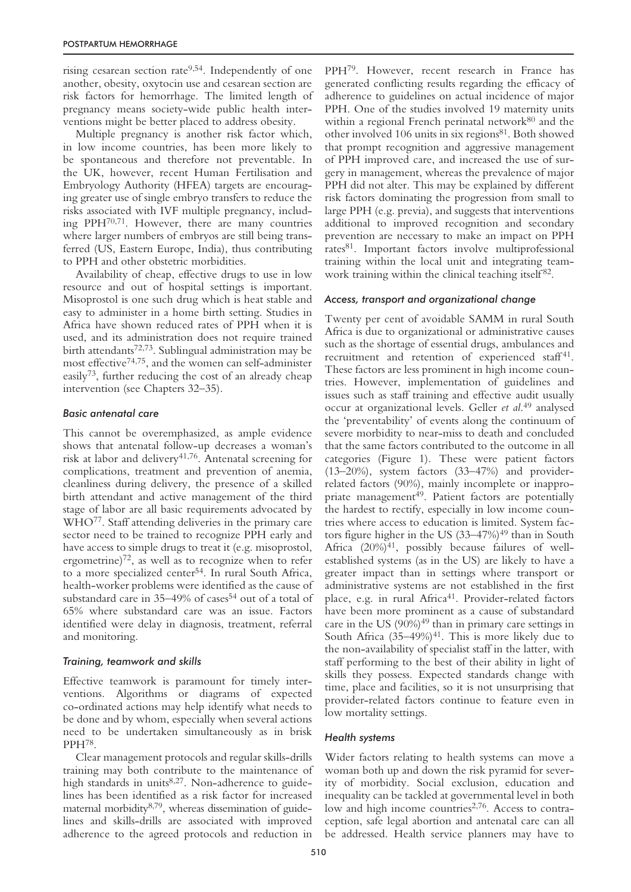rising cesarean section rate<sup>9,54</sup>. Independently of one another, obesity, oxytocin use and cesarean section are risk factors for hemorrhage. The limited length of pregnancy means society-wide public health interventions might be better placed to address obesity.

Multiple pregnancy is another risk factor which, in low income countries, has been more likely to be spontaneous and therefore not preventable. In the UK, however, recent Human Fertilisation and Embryology Authority (HFEA) targets are encouraging greater use of single embryo transfers to reduce the risks associated with IVF multiple pregnancy, including PPH70,71. However, there are many countries where larger numbers of embryos are still being transferred (US, Eastern Europe, India), thus contributing to PPH and other obstetric morbidities.

Availability of cheap, effective drugs to use in low resource and out of hospital settings is important. Misoprostol is one such drug which is heat stable and easy to administer in a home birth setting. Studies in Africa have shown reduced rates of PPH when it is used, and its administration does not require trained birth attendants72,73. Sublingual administration may be most effective<sup>74,75</sup>, and the women can self-administer easily73, further reducing the cost of an already cheap intervention (see Chapters 32–35).

## *Basic antenatal care*

This cannot be overemphasized, as ample evidence shows that antenatal follow-up decreases a woman's risk at labor and delivery<sup>41,76</sup>. Antenatal screening for complications, treatment and prevention of anemia, cleanliness during delivery, the presence of a skilled birth attendant and active management of the third stage of labor are all basic requirements advocated by WHO77. Staff attending deliveries in the primary care sector need to be trained to recognize PPH early and have access to simple drugs to treat it (e.g. misoprostol, ergometrine) $72$ , as well as to recognize when to refer to a more specialized center<sup>54</sup>. In rural South Africa, health-worker problems were identified as the cause of substandard care in 35-49% of cases<sup>54</sup> out of a total of 65% where substandard care was an issue. Factors identified were delay in diagnosis, treatment, referral and monitoring.

## *Training, teamwork and skills*

Effective teamwork is paramount for timely interventions. Algorithms or diagrams of expected co-ordinated actions may help identify what needs to be done and by whom, especially when several actions need to be undertaken simultaneously as in brisk PPH78.

Clear management protocols and regular skills-drills training may both contribute to the maintenance of high standards in units<sup>8,27</sup>. Non-adherence to guidelines has been identified as a risk factor for increased maternal morbidity8,79, whereas dissemination of guidelines and skills-drills are associated with improved adherence to the agreed protocols and reduction in PPH79. However, recent research in France has generated conflicting results regarding the efficacy of adherence to guidelines on actual incidence of major PPH. One of the studies involved 19 maternity units within a regional French perinatal network<sup>80</sup> and the other involved 106 units in six regions<sup>81</sup>. Both showed that prompt recognition and aggressive management of PPH improved care, and increased the use of surgery in management, whereas the prevalence of major PPH did not alter. This may be explained by different risk factors dominating the progression from small to large PPH (e.g. previa), and suggests that interventions additional to improved recognition and secondary prevention are necessary to make an impact on PPH rates81. Important factors involve multiprofessional training within the local unit and integrating teamwork training within the clinical teaching itself<sup>82</sup>.

# *Access, transport and organizational change*

Twenty per cent of avoidable SAMM in rural South Africa is due to organizational or administrative causes such as the shortage of essential drugs, ambulances and recruitment and retention of experienced staff<sup>41</sup>. These factors are less prominent in high income countries. However, implementation of guidelines and issues such as staff training and effective audit usually occur at organizational levels. Geller *et al*. <sup>49</sup> analysed the 'preventability' of events along the continuum of severe morbidity to near-miss to death and concluded that the same factors contributed to the outcome in all categories (Figure 1). These were patient factors (13–20%), system factors (33–47%) and providerrelated factors (90%), mainly incomplete or inappropriate management<sup>49</sup>. Patient factors are potentially the hardest to rectify, especially in low income countries where access to education is limited. System factors figure higher in the US  $(33-47%)^{49}$  than in South Africa  $(20\%)^{41}$ , possibly because failures of wellestablished systems (as in the US) are likely to have a greater impact than in settings where transport or administrative systems are not established in the first place, e.g. in rural Africa<sup>41</sup>. Provider-related factors have been more prominent as a cause of substandard care in the US  $(90\%)^{49}$  than in primary care settings in South Africa  $(35-49%)^{41}$ . This is more likely due to the non-availability of specialist staff in the latter, with staff performing to the best of their ability in light of skills they possess. Expected standards change with time, place and facilities, so it is not unsurprising that provider-related factors continue to feature even in low mortality settings.

# *Health systems*

Wider factors relating to health systems can move a woman both up and down the risk pyramid for severity of morbidity. Social exclusion, education and inequality can be tackled at governmental level in both low and high income countries<sup>2,76</sup>. Access to contraception, safe legal abortion and antenatal care can all be addressed. Health service planners may have to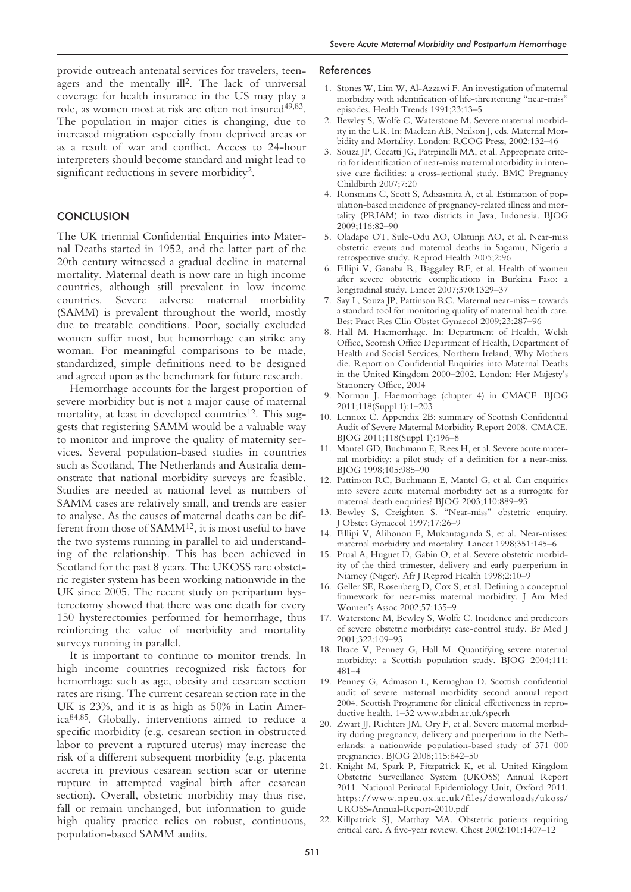provide outreach antenatal services for travelers, teenagers and the mentally ill<sup>2</sup>. The lack of universal coverage for health insurance in the US may play a role, as women most at risk are often not insured<sup>49,83</sup>. The population in major cities is changing, due to increased migration especially from deprived areas or as a result of war and conflict. Access to 24-hour interpreters should become standard and might lead to significant reductions in severe morbidity<sup>2</sup>.

## **CONCLUSION**

The UK triennial Confidential Enquiries into Maternal Deaths started in 1952, and the latter part of the 20th century witnessed a gradual decline in maternal mortality. Maternal death is now rare in high income countries, although still prevalent in low income countries. Severe adverse maternal morbidity (SAMM) is prevalent throughout the world, mostly due to treatable conditions. Poor, socially excluded women suffer most, but hemorrhage can strike any woman. For meaningful comparisons to be made, standardized, simple definitions need to be designed and agreed upon as the benchmark for future research.

Hemorrhage accounts for the largest proportion of severe morbidity but is not a major cause of maternal mortality, at least in developed countries<sup>12</sup>. This suggests that registering SAMM would be a valuable way to monitor and improve the quality of maternity services. Several population-based studies in countries such as Scotland, The Netherlands and Australia demonstrate that national morbidity surveys are feasible. Studies are needed at national level as numbers of SAMM cases are relatively small, and trends are easier to analyse. As the causes of maternal deaths can be different from those of SAMM<sup>12</sup>, it is most useful to have the two systems running in parallel to aid understanding of the relationship. This has been achieved in Scotland for the past 8 years. The UKOSS rare obstetric register system has been working nationwide in the UK since 2005. The recent study on peripartum hysterectomy showed that there was one death for every 150 hysterectomies performed for hemorrhage, thus reinforcing the value of morbidity and mortality surveys running in parallel.

It is important to continue to monitor trends. In high income countries recognized risk factors for hemorrhage such as age, obesity and cesarean section rates are rising. The current cesarean section rate in the UK is 23%, and it is as high as 50% in Latin America84,85. Globally, interventions aimed to reduce a specific morbidity (e.g. cesarean section in obstructed labor to prevent a ruptured uterus) may increase the risk of a different subsequent morbidity (e.g. placenta accreta in previous cesarean section scar or uterine rupture in attempted vaginal birth after cesarean section). Overall, obstetric morbidity may thus rise, fall or remain unchanged, but information to guide high quality practice relies on robust, continuous, population-based SAMM audits.

#### References

- 1. Stones W, Lim W, Al-Azzawi F. An investigation of maternal morbidity with identification of life-threatenting "near-miss" episodes. Health Trends 1991;23:13–5
- 2. Bewley S, Wolfe C, Waterstone M. Severe maternal morbidity in the UK. In: Maclean AB, Neilson J, eds. Maternal Morbidity and Mortality. London: RCOG Press, 2002:132–46
- 3. Souza JP, Cecatti JG, Patrpinelli MA, et al. Appropriate criteria for identification of near-miss maternal morbidity in intensive care facilities: a cross-sectional study. BMC Pregnancy Childbirth 2007;7:20
- 4. Ronsmans C, Scott S, Adisasmita A, et al. Estimation of population-based incidence of pregnancy-related illness and mortality (PRIAM) in two districts in Java, Indonesia. BJOG 2009;116:82–90
- 5. Oladapo OT, Sule-Odu AO, Olatunji AO, et al. Near-miss obstetric events and maternal deaths in Sagamu, Nigeria a retrospective study. Reprod Health 2005;2:96
- 6. Fillipi V, Ganaba R, Baggaley RF, et al. Health of women after severe obstetric complications in Burkina Faso: a longitudinal study. Lancet 2007;370:1329–37
- 7. Say L, Souza JP, Pattinson RC. Maternal near-miss towards a standard tool for monitoring quality of maternal health care. Best Pract Res Clin Obstet Gynaecol 2009;23:287–96
- 8. Hall M. Haemorrhage. In: Department of Health, Welsh Office, Scottish Office Department of Health, Department of Health and Social Services, Northern Ireland, Why Mothers die. Report on Confidential Enquiries into Maternal Deaths in the United Kingdom 2000–2002. London: Her Majesty's Stationery Office, 2004
- 9. Norman J. Haemorrhage (chapter 4) in CMACE. BJOG 2011;118(Suppl 1):1–203
- 10. Lennox C. Appendix 2B: summary of Scottish Confidential Audit of Severe Maternal Morbidity Report 2008. CMACE. BJOG 2011;118(Suppl 1):196–8
- 11. Mantel GD, Buchmann E, Rees H, et al. Severe acute maternal morbidity: a pilot study of a definition for a near-miss. BJOG 1998;105:985–90
- 12. Pattinson RC, Buchmann E, Mantel G, et al. Can enquiries into severe acute maternal morbidity act as a surrogate for maternal death enquiries? BJOG 2003;110:889–93
- 13. Bewley S, Creighton S. "Near-miss" obstetric enquiry. J Obstet Gynaecol 1997;17:26–9
- 14. Fillipi V, Alihonou E, Mukantaganda S, et al. Near-misses: maternal morbidity and mortality. Lancet 1998;351:145–6
- 15. Prual A, Huguet D, Gabin O, et al. Severe obstetric morbidity of the third trimester, delivery and early puerperium in Niamey (Niger). Afr J Reprod Health 1998;2:10–9
- 16. Geller SE, Rosenberg D, Cox S, et al. Defining a conceptual framework for near-miss maternal morbidity. J Am Med Women's Assoc 2002;57:135–9
- 17. Waterstone M, Bewley S, Wolfe C. Incidence and predictors of severe obstetric morbidity: case-control study. Br Med J 2001;322:109–93
- 18. Brace V, Penney G, Hall M. Quantifying severe maternal morbidity: a Scottish population study. BJOG 2004;111: 481–4
- 19. Penney G, Admason L, Kernaghan D. Scottish confidential audit of severe maternal morbidity second annual report 2004. Scottish Programme for clinical effectiveness in reproductive health. 1–32 www.abdn.ac.uk/specrh
- 20. Zwart JJ, Richters JM, Ory F, et al. Severe maternal morbidity during pregnancy, delivery and puerperium in the Netherlands: a nationwide population-based study of 371 000 pregnancies. BJOG 2008;115:842–50
- 21. Knight M, Spark P, Fitzpatrick K, et al. United Kingdom Obstetric Surveillance System (UKOSS) Annual Report 2011. National Perinatal Epidemiology Unit, Oxford 2011. https://www.npeu.ox.ac.uk/files/downloads/ukoss/ UKOSS-Annual-Report-2010.pdf
- 22. Killpatrick SJ, Matthay MA. Obstetric patients requiring critical care. A five-year review. Chest 2002:101:1407–12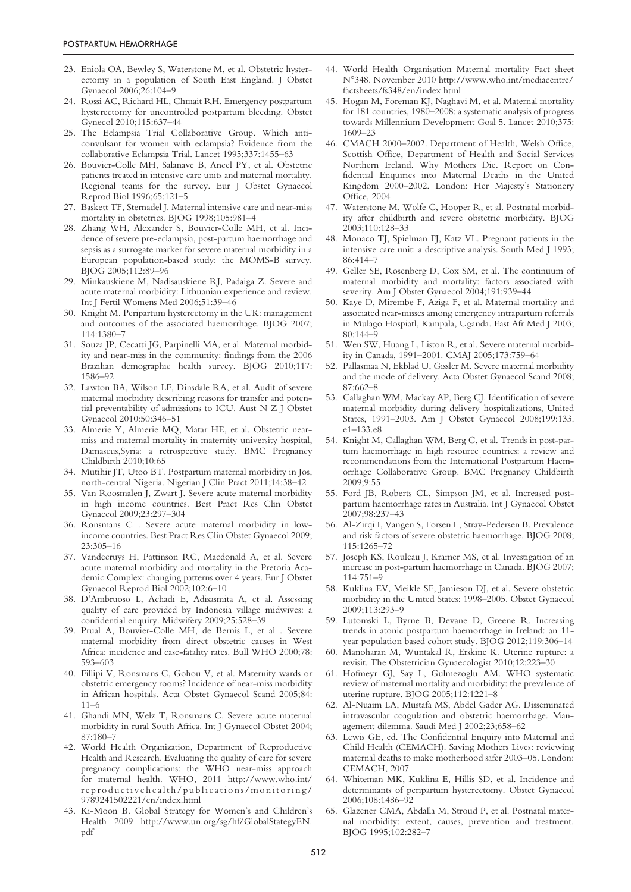- 23. Eniola OA, Bewley S, Waterstone M, et al. Obstetric hysterectomy in a population of South East England. J Obstet Gynaecol 2006;26:104–9
- 24. Rossi AC, Richard HL, Chmait RH. Emergency postpartum hysterectomy for uncontrolled postpartum bleeding. Obstet Gynecol 2010;115:637–44
- 25. The Eclampsia Trial Collaborative Group. Which anticonvulsant for women with eclampsia? Evidence from the collaborative Eclampsia Trial. Lancet 1995;337:1455–63
- 26. Bouvier-Colle MH, Salanave B, Ancel PY, et al. Obstetric patients treated in intensive care units and maternal mortality. Regional teams for the survey. Eur J Obstet Gynaecol Reprod Biol 1996;65:121–5
- 27. Baskett TF, Sternadel J. Maternal intensive care and near-miss mortality in obstetrics. BJOG 1998;105:981–4
- 28. Zhang WH, Alexander S, Bouvier-Colle MH, et al. Incidence of severe pre-eclampsia, post-partum haemorrhage and sepsis as a surrogate marker for severe maternal morbidity in a European population-based study: the MOMS-B survey. BJOG 2005;112:89–96
- 29. Minkauskiene M, Nadisauskiene RJ, Padaiga Z. Severe and acute maternal morbidity: Lithuanian experience and review. Int J Fertil Womens Med 2006;51:39–46
- 30. Knight M. Peripartum hysterectomy in the UK: management and outcomes of the associated haemorrhage. BJOG 2007; 114:1380–7
- 31. Souza JP, Cecatti JG, Parpinelli MA, et al. Maternal morbidity and near-miss in the community: findings from the 2006 Brazilian demographic health survey. BJOG 2010;117: 1586–92
- 32. Lawton BA, Wilson LF, Dinsdale RA, et al. Audit of severe maternal morbidity describing reasons for transfer and potential preventability of admissions to ICU. Aust N Z J Obstet Gynaecol 2010:50:346–51
- 33. Almerie Y, Almerie MQ, Matar HE, et al. Obstetric nearmiss and maternal mortality in maternity university hospital, Damascus,Syria: a retrospective study. BMC Pregnancy Childbirth 2010;10:65
- 34. Mutihir JT, Utoo BT. Postpartum maternal morbidity in Jos, north-central Nigeria. Nigerian J Clin Pract 2011;14:38–42
- 35. Van Roosmalen J, Zwart J. Severe acute maternal morbidity in high income countries. Best Pract Res Clin Obstet Gynaecol 2009;23:297–304
- 36. Ronsmans C . Severe acute maternal morbidity in lowincome countries. Best Pract Res Clin Obstet Gynaecol 2009; 23:305–16
- 37. Vandecruys H, Pattinson RC, Macdonald A, et al. Severe acute maternal morbidity and mortality in the Pretoria Academic Complex: changing patterns over 4 years. Eur J Obstet Gynaecol Reprod Biol 2002;102:6–10
- 38. D'Ambruoso L, Achadi E, Adisasmita A, et al. Assessing quality of care provided by Indonesia village midwives: a confidential enquiry. Midwifery 2009;25:528–39
- 39. Prual A, Bouvier-Colle MH, de Bernis L, et al . Severe maternal morbidity from direct obstetric causes in West Africa: incidence and case-fatality rates. Bull WHO 2000;78: 593–603
- 40. Fillipi V, Ronsmans C, Gohou V, et al. Maternity wards or obstetric emergency rooms? Incidence of near-miss morbidity in African hospitals. Acta Obstet Gynaecol Scand 2005;84: 11–6
- 41. Ghandi MN, Welz T, Ronsmans C. Severe acute maternal morbidity in rural South Africa. Int J Gynaecol Obstet 2004; 87:180–7
- 42. World Health Organization, Department of Reproductive Health and Research. Evaluating the quality of care for severe pregnancy complications: the WHO near-miss approach for maternal health. WHO, 2011 http://www.who.int/ reproductivehealth/publications/monitoring/ 9789241502221/en/index.html
- 43. Ki-Moon B. Global Strategy for Women's and Children's Health 2009 http://www.un.org/sg/hf/GlobalStategyEN. pdf
- 44. World Health Organisation Maternal mortality Fact sheet N°348. November 2010 http://www.who.int/mediacentre/ factsheets/fs348/en/index.html
- 45. Hogan M, Foreman KJ, Naghavi M, et al. Maternal mortality for 181 countries, 1980–2008: a systematic analysis of progress towards Millennium Development Goal 5. Lancet 2010;375: 1609–23
- 46. CMACH 2000–2002. Department of Health, Welsh Office, Scottish Office, Department of Health and Social Services Northern Ireland. Why Mothers Die. Report on Confidential Enquiries into Maternal Deaths in the United Kingdom 2000–2002. London: Her Majesty's Stationery Office, 2004
- 47. Waterstone M, Wolfe C, Hooper R, et al. Postnatal morbidity after childbirth and severe obstetric morbidity. BJOG 2003;110:128–33
- 48. Monaco TJ, Spielman FJ, Katz VL. Pregnant patients in the intensive care unit: a descriptive analysis. South Med J 1993; 86:414–7
- 49. Geller SE, Rosenberg D, Cox SM, et al. The continuum of maternal morbidity and mortality: factors associated with severity. Am J Obstet Gynaecol 2004;191:939–44
- 50. Kaye D, Mirembe F, Aziga F, et al. Maternal mortality and associated near-misses among emergency intrapartum referrals in Mulago Hospiatl, Kampala, Uganda. East Afr Med J 2003;  $80.144 - 9$
- 51. Wen SW, Huang L, Liston R, et al. Severe maternal morbidity in Canada, 1991–2001. CMAJ 2005;173:759–64
- 52. Pallasmaa N, Ekblad U, Gissler M. Severe maternal morbidity and the mode of delivery. Acta Obstet Gynaecol Scand 2008; 87:662–8
- 53. Callaghan WM, Mackay AP, Berg CJ. Identification of severe maternal morbidity during delivery hospitalizations, United States, 1991–2003. Am J Obstet Gynaecol 2008;199:133. e1–133.e8
- 54. Knight M, Callaghan WM, Berg C, et al. Trends in post-partum haemorrhage in high resource countries: a review and recommendations from the International Postpartum Haemorrhage Collaborative Group. BMC Pregnancy Childbirth  $2009.9.55$
- 55. Ford JB, Roberts CL, Simpson JM, et al. Increased postpartum haemorrhage rates in Australia. Int J Gynaecol Obstet 2007;98:237–43
- 56. Al-Zirqi I, Vangen S, Forsen L, Stray-Pedersen B. Prevalence and risk factors of severe obstetric haemorrhage. BJOG 2008; 115:1265–72
- 57. Joseph KS, Rouleau J, Kramer MS, et al. Investigation of an increase in post-partum haemorrhage in Canada. BJOG 2007; 114:751–9
- 58. Kuklina EV, Meikle SF, Jamieson DJ, et al. Severe obstetric morbidity in the United States: 1998–2005. Obstet Gynaecol 2009;113:293–9
- 59. Lutomski L, Byrne B, Devane D, Greene R. Increasing trends in atonic postpartum haemorrhage in Ireland: an 11 year population based cohort study. BJOG 2012;119:306–14
- 60. Manoharan M, Wuntakal R, Erskine K. Uterine rupture: a revisit. The Obstetrician Gynaecologist 2010;12:223–30
- 61. Hofmeyr GJ, Say L, Gulmezoglu AM. WHO systematic review of maternal mortality and morbidity: the prevalence of uterine rupture. BJOG 2005;112:1221–8
- 62. Al-Nuaim LA, Mustafa MS, Abdel Gader AG. Disseminated intravascular coagulation and obstetric haemorrhage. Management dilemma. Saudi Med J 2002;23;658–62
- 63. Lewis GE, ed. The Confidential Enquiry into Maternal and Child Health (CEMACH). Saving Mothers Lives: reviewing maternal deaths to make motherhood safer 2003–05. London: CEMACH, 2007
- 64. Whiteman MK, Kuklina E, Hillis SD, et al. Incidence and determinants of peripartum hysterectomy. Obstet Gynaecol 2006;108:1486–92
- 65. Glazener CMA, Abdalla M, Stroud P, et al. Postnatal maternal morbidity: extent, causes, prevention and treatment. BJOG 1995;102:282–7